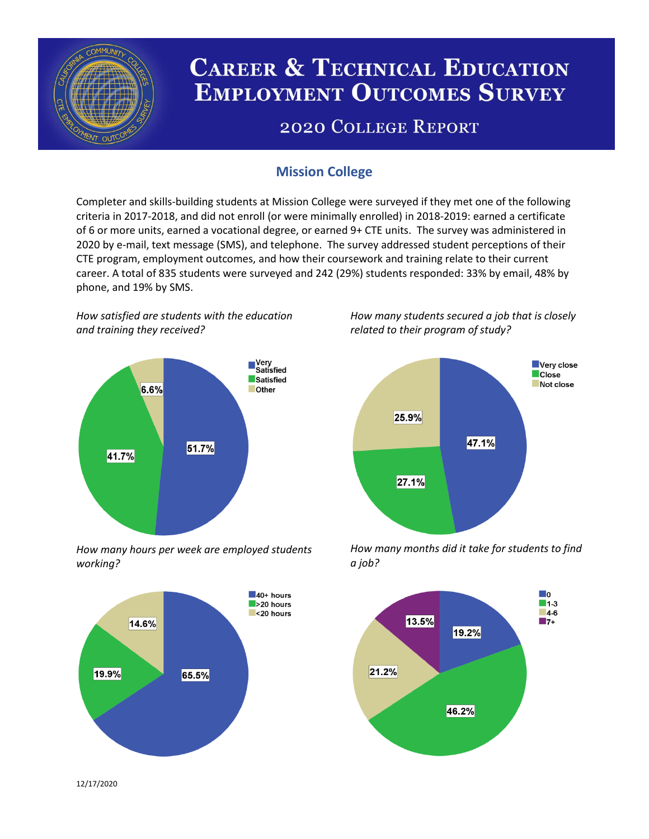

# **CAREER & TECHNICAL EDUCATION EMPLOYMENT OUTCOMES SURVEY**

## **2020 COLLEGE REPORT**

## **Mission College**

Completer and skills-building students at Mission College were surveyed if they met one of the following criteria in 2017-2018, and did not enroll (or were minimally enrolled) in 2018-2019: earned a certificate of 6 or more units, earned a vocational degree, or earned 9+ CTE units. The survey was administered in 2020 by e-mail, text message (SMS), and telephone. The survey addressed student perceptions of their CTE program, employment outcomes, and how their coursework and training relate to their current career. A total of 835 students were surveyed and 242 (29%) students responded: 33% by email, 48% by phone, and 19% by SMS.

*How satisfied are students with the education and training they received?*



*How many hours per week are employed students working?*



*How many students secured a job that is closely related to their program of study?*



*How many months did it take for students to find a job?*



12/17/2020